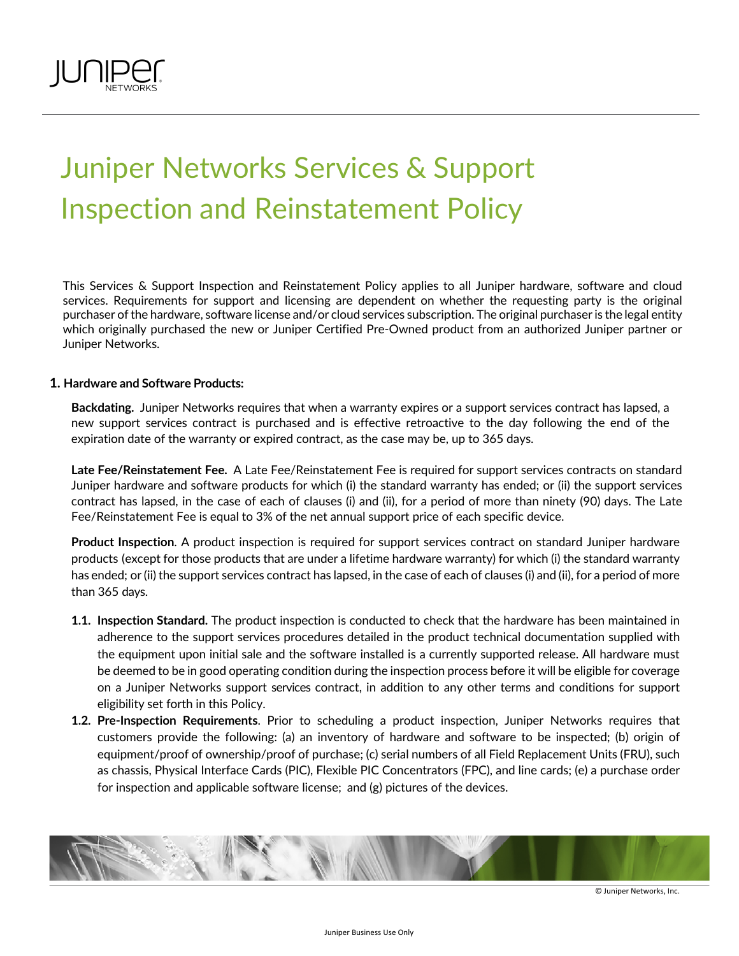

# Juniper Networks Services & Support Inspection and Reinstatement Policy

This Services & Support Inspection and Reinstatement Policy applies to all Juniper hardware, software and cloud services. Requirements for support and licensing are dependent on whether the requesting party is the original purchaser ofthe hardware, software license and/or cloud services subscription. The original purchaseris the legal entity which originally purchased the new or Juniper Certified Pre-Owned product from an authorized Juniper partner or Juniper Networks.

## **1. Hardware and Software Products:**

**Backdating.** Juniper Networks requires that when a warranty expires or a support services contract has lapsed, a new support services contract is purchased and is effective retroactive to the day following the end of the expiration date of the warranty or expired contract, as the case may be, up to 365 days.

**Late Fee/Reinstatement Fee.** A Late Fee/Reinstatement Fee is required for support services contracts on standard Juniper hardware and software products for which (i) the standard warranty has ended; or (ii) the support services contract has lapsed, in the case of each of clauses (i) and (ii), for a period of more than ninety (90) days. The Late Fee/Reinstatement Fee is equal to 3% of the net annual support price of each specific device.

**Product Inspection**. A product inspection is required for support services contract on standard Juniper hardware products (except for those products that are under a lifetime hardware warranty) for which (i) the standard warranty has ended; or (ii) the support services contract has lapsed, in the case of each of clauses (i) and (ii), for a period of more than 365 days.

- **1.1. Inspection Standard.** The product inspection is conducted to check that the hardware has been maintained in adherence to the support services procedures detailed in the product technical documentation supplied with the equipment upon initial sale and the software installed is a currently supported release. All hardware must be deemed to be in good operating condition during the inspection process before it will be eligible for coverage on a Juniper Networks support services contract, in addition to any other terms and conditions for support eligibility set forth in this Policy.
- **1.2. Pre-Inspection Requirements**. Prior to scheduling a product inspection, Juniper Networks requires that customers provide the following: (a) an inventory of hardware and software to be inspected; (b) origin of equipment/proof of ownership/proof of purchase; (c) serial numbers of all Field Replacement Units (FRU), such as chassis, Physical Interface Cards (PIC), Flexible PIC Concentrators (FPC), and line cards; (e) a purchase order for inspection and applicable software license; and (g) pictures of the devices.



© Juniper Networks, Inc.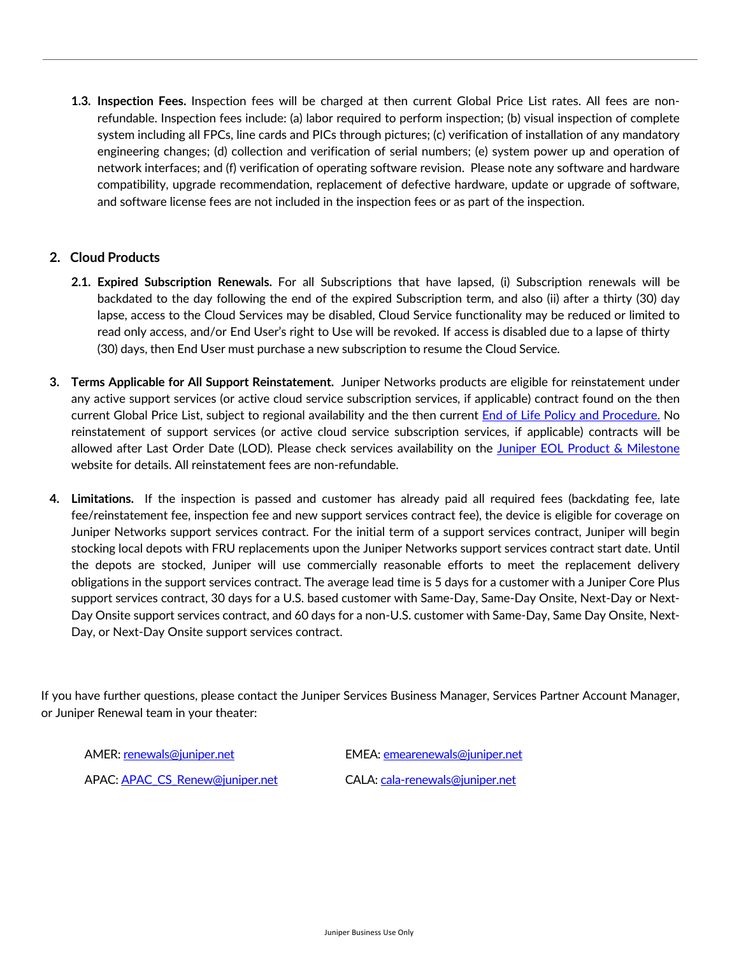**1.3. Inspection Fees.** Inspection fees will be charged at then current Global Price List rates. All fees are nonrefundable. Inspection fees include: (a) labor required to perform inspection; (b) visual inspection of complete system including all FPCs, line cards and PICs through pictures; (c) verification of installation of any mandatory engineering changes; (d) collection and verification of serial numbers; (e) system power up and operation of network interfaces; and (f) verification of operating software revision. Please note any software and hardware compatibility, upgrade recommendation, replacement of defective hardware, update or upgrade of software, and software license fees are not included in the inspection fees or as part of the inspection.

## **2. Cloud Products**

- **2.1. Expired Subscription Renewals.** For all Subscriptions that have lapsed, (i) Subscription renewals will be backdated to the day following the end of the expired Subscription term, and also (ii) after a thirty (30) day lapse, access to the Cloud Services may be disabled, Cloud Service functionality may be reduced or limited to read only access, and/or End User's right to Use will be revoked. If access is disabled due to a lapse of thirty (30) days, then End User must purchase a new subscription to resume the Cloud Service.
- **3. Terms Applicable for All Support Reinstatement.** Juniper Networks products are eligible for reinstatement under any active support services (or active cloud service subscription services, if applicable) contract found on the then current Global Price List, subject to regional availability and the then current End of Life Policy and Procedure. No reinstatement of support services (or active cloud service subscription services, if applicable) contracts will be allowed after Last Order Date (LOD). Please check services availability on the Juniper EOL Product & Milestone website for details. All reinstatement fees are non-refundable.
- **4. Limitations.** If the inspection is passed and customer has already paid all required fees (backdating fee, late fee/reinstatement fee, inspection fee and new support services contract fee), the device is eligible for coverage on Juniper Networks support services contract. For the initial term of a support services contract, Juniper will begin stocking local depots with FRU replacements upon the Juniper Networks support services contract start date. Until the depots are stocked, Juniper will use commercially reasonable efforts to meet the replacement delivery obligations in the support services contract. The average lead time is 5 days for a customer with a Juniper Core Plus support services contract, 30 days for a U.S. based customer with Same-Day, Same-Day Onsite, Next-Day or Next-Day Onsite support services contract, and 60 days for a non-U.S. customer with Same-Day, Same Day Onsite, Next-Day, or Next-Day Onsite support services contract.

If you have further questions, please contact the Juniper Services Business Manager, Services Partner Account Manager, or Juniper Renewal team in your theater:

AMER: renewals@juniper.net EMEA: emearenewals@juniper.net APAC: APAC\_CS\_Renew@juniper.net CALA: cala-renewals@juniper.net